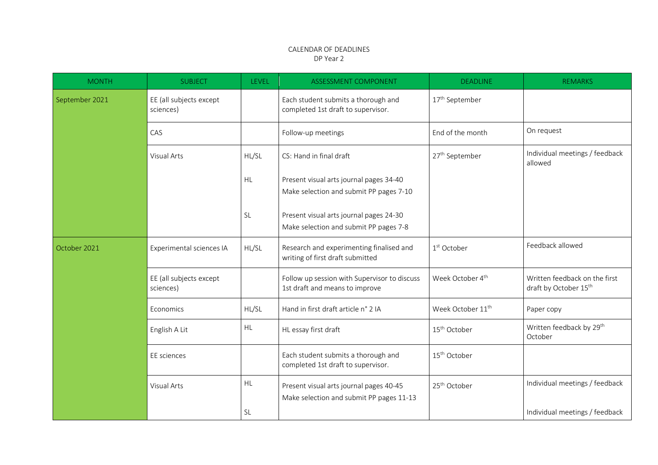## CALENDAR OF DEADLINES DP Year 2

| <b>MONTH</b>   | <b>SUBJECT</b>                       | LEVEL     | <b>ASSESSMENT COMPONENT</b>                                                         | <b>DEADLINE</b>               | <b>REMARKS</b>                                         |
|----------------|--------------------------------------|-----------|-------------------------------------------------------------------------------------|-------------------------------|--------------------------------------------------------|
| September 2021 | EE (all subjects except<br>sciences) |           | Each student submits a thorough and<br>completed 1st draft to supervisor.           | 17 <sup>th</sup> September    |                                                        |
|                | CAS                                  |           | Follow-up meetings                                                                  | End of the month              | On request                                             |
|                | Visual Arts                          | HL/SL     | CS: Hand in final draft                                                             | 27 <sup>th</sup> September    | Individual meetings / feedback<br>allowed              |
|                |                                      | <b>HL</b> | Present visual arts journal pages 34-40<br>Make selection and submit PP pages 7-10  |                               |                                                        |
|                |                                      | <b>SL</b> | Present visual arts journal pages 24-30<br>Make selection and submit PP pages 7-8   |                               |                                                        |
| October 2021   | Experimental sciences IA             | HL/SL     | Research and experimenting finalised and<br>writing of first draft submitted        | 1 <sup>st</sup> October       | Feedback allowed                                       |
|                | EE (all subjects except<br>sciences) |           | Follow up session with Supervisor to discuss<br>1st draft and means to improve      | Week October 4 <sup>th</sup>  | Written feedback on the first<br>draft by October 15th |
|                | Economics                            | HL/SL     | Hand in first draft article n° 2 IA                                                 | Week October 11 <sup>th</sup> | Paper copy                                             |
|                | English A Lit                        | <b>HL</b> | HL essay first draft                                                                | 15 <sup>th</sup> October      | Written feedback by 29 <sup>th</sup><br>October        |
|                | EE sciences                          |           | Each student submits a thorough and<br>completed 1st draft to supervisor.           | 15 <sup>th</sup> October      |                                                        |
|                | Visual Arts                          | HL        | Present visual arts journal pages 40-45<br>Make selection and submit PP pages 11-13 | 25 <sup>th</sup> October      | Individual meetings / feedback                         |
|                |                                      | SL        |                                                                                     |                               | Individual meetings / feedback                         |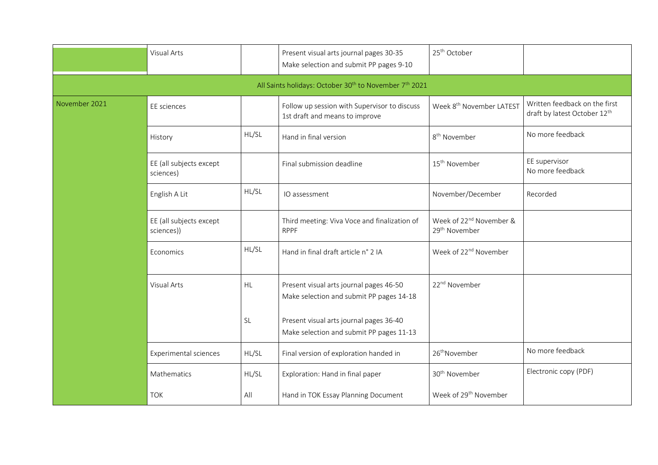|                                                                                | <b>Visual Arts</b>                    |       | Present visual arts journal pages 30-35<br>Make selection and submit PP pages 9-10  | 25 <sup>th</sup> October                                         |                                                               |  |  |
|--------------------------------------------------------------------------------|---------------------------------------|-------|-------------------------------------------------------------------------------------|------------------------------------------------------------------|---------------------------------------------------------------|--|--|
| All Saints holidays: October 30 <sup>th</sup> to November 7 <sup>th</sup> 2021 |                                       |       |                                                                                     |                                                                  |                                                               |  |  |
| November 2021                                                                  | EE sciences                           |       | Follow up session with Supervisor to discuss<br>1st draft and means to improve      | Week 8 <sup>th</sup> November LATEST                             | Written feedback on the first<br>draft by latest October 12th |  |  |
|                                                                                | History                               | HL/SL | Hand in final version                                                               | 8 <sup>th</sup> November                                         | No more feedback                                              |  |  |
|                                                                                | EE (all subjects except<br>sciences)  |       | Final submission deadline                                                           | 15 <sup>th</sup> November                                        | EE supervisor<br>No more feedback                             |  |  |
|                                                                                | English A Lit                         | HL/SL | IO assessment                                                                       | November/December                                                | Recorded                                                      |  |  |
|                                                                                | EE (all subjects except<br>sciences)) |       | Third meeting: Viva Voce and finalization of<br><b>RPPF</b>                         | Week of 22 <sup>nd</sup> November &<br>29 <sup>th</sup> November |                                                               |  |  |
|                                                                                | Economics                             | HL/SL | Hand in final draft article n° 2 IA                                                 | Week of 22 <sup>nd</sup> November                                |                                                               |  |  |
|                                                                                | <b>Visual Arts</b>                    | HL    | Present visual arts journal pages 46-50<br>Make selection and submit PP pages 14-18 | 22 <sup>nd</sup> November                                        |                                                               |  |  |
|                                                                                |                                       | SL    | Present visual arts journal pages 36-40<br>Make selection and submit PP pages 11-13 |                                                                  |                                                               |  |  |
|                                                                                | Experimental sciences                 | HL/SL | Final version of exploration handed in                                              | 26 <sup>th</sup> November                                        | No more feedback                                              |  |  |
|                                                                                | Mathematics                           | HL/SL | Exploration: Hand in final paper                                                    | 30 <sup>th</sup> November                                        | Electronic copy (PDF)                                         |  |  |
|                                                                                | <b>TOK</b>                            | All   | Hand in TOK Essay Planning Document                                                 | Week of 29 <sup>th</sup> November                                |                                                               |  |  |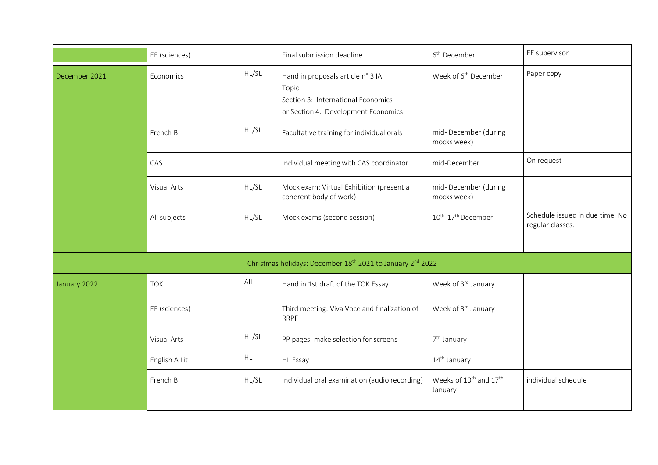|                                                                                    | EE (sciences) |       | Final submission deadline                                                                                                | 6 <sup>th</sup> December                                  | EE supervisor                                       |  |  |
|------------------------------------------------------------------------------------|---------------|-------|--------------------------------------------------------------------------------------------------------------------------|-----------------------------------------------------------|-----------------------------------------------------|--|--|
| December 2021                                                                      | Economics     | HL/SL | Hand in proposals article n° 3 IA<br>Topic:<br>Section 3: International Economics<br>or Section 4: Development Economics | Week of 6 <sup>th</sup> December                          | Paper copy                                          |  |  |
|                                                                                    | French B      | HL/SL | Facultative training for individual orals                                                                                | mid-December (during<br>mocks week)                       |                                                     |  |  |
|                                                                                    | CAS           |       | Individual meeting with CAS coordinator                                                                                  | mid-December                                              | On request                                          |  |  |
|                                                                                    | Visual Arts   | HL/SL | Mock exam: Virtual Exhibition (present a<br>coherent body of work)                                                       | mid-December (during<br>mocks week)                       |                                                     |  |  |
|                                                                                    | All subjects  | HL/SL | Mock exams (second session)                                                                                              | 10 <sup>th</sup> -17 <sup>th</sup> December               | Schedule issued in due time: No<br>regular classes. |  |  |
| Christmas holidays: December 18 <sup>th</sup> 2021 to January 2 <sup>nd</sup> 2022 |               |       |                                                                                                                          |                                                           |                                                     |  |  |
| January 2022                                                                       | <b>TOK</b>    | All   | Hand in 1st draft of the TOK Essay                                                                                       | Week of 3rd January                                       |                                                     |  |  |
|                                                                                    | EE (sciences) |       | Third meeting: Viva Voce and finalization of<br><b>RRPF</b>                                                              | Week of 3rd January                                       |                                                     |  |  |
|                                                                                    | Visual Arts   | HL/SL | PP pages: make selection for screens                                                                                     | 7 <sup>th</sup> January                                   |                                                     |  |  |
|                                                                                    | English A Lit | HL.   | <b>HL Essay</b>                                                                                                          | 14 <sup>th</sup> January                                  |                                                     |  |  |
|                                                                                    | French B      | HL/SL | Individual oral examination (audio recording)                                                                            | Weeks of 10 <sup>th</sup> and 17 <sup>th</sup><br>January | individual schedule                                 |  |  |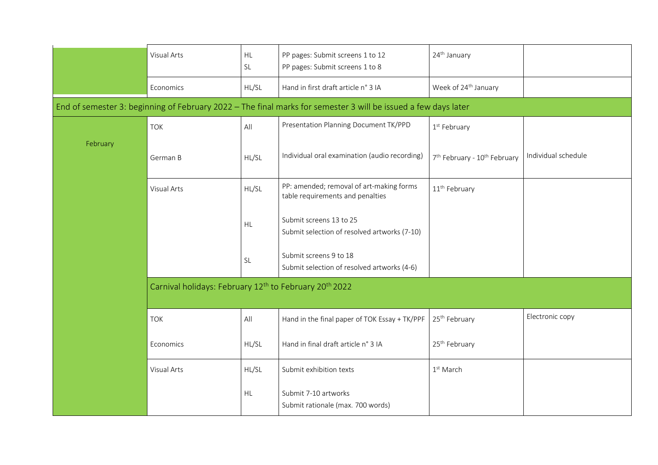|                                                                                                                | Visual Arts                                                                    | <b>HL</b><br><b>SL</b> | PP pages: Submit screens 1 to 12<br>PP pages: Submit screens 1 to 8          | 24 <sup>th</sup> January                             |                     |  |  |
|----------------------------------------------------------------------------------------------------------------|--------------------------------------------------------------------------------|------------------------|------------------------------------------------------------------------------|------------------------------------------------------|---------------------|--|--|
|                                                                                                                | Economics                                                                      | HL/SL                  | Hand in first draft article n° 3 IA                                          | Week of 24 <sup>th</sup> January                     |                     |  |  |
| End of semester 3: beginning of February 2022 - The final marks for semester 3 will be issued a few days later |                                                                                |                        |                                                                              |                                                      |                     |  |  |
| February                                                                                                       | <b>TOK</b>                                                                     | All                    | Presentation Planning Document TK/PPD                                        | 1 <sup>st</sup> February                             |                     |  |  |
|                                                                                                                | German B                                                                       | HL/SL                  | Individual oral examination (audio recording)                                | 7 <sup>th</sup> February - 10 <sup>th</sup> February | Individual schedule |  |  |
|                                                                                                                | Visual Arts                                                                    | HL/SL                  | PP: amended; removal of art-making forms<br>table requirements and penalties | 11 <sup>th</sup> February                            |                     |  |  |
|                                                                                                                |                                                                                | <b>HL</b>              | Submit screens 13 to 25<br>Submit selection of resolved artworks (7-10)      |                                                      |                     |  |  |
|                                                                                                                |                                                                                | <b>SL</b>              | Submit screens 9 to 18<br>Submit selection of resolved artworks (4-6)        |                                                      |                     |  |  |
|                                                                                                                | Carnival holidays: February 12 <sup>th</sup> to February 20 <sup>th</sup> 2022 |                        |                                                                              |                                                      |                     |  |  |
|                                                                                                                | <b>TOK</b>                                                                     | All                    | Hand in the final paper of TOK Essay + TK/PPF                                | 25 <sup>th</sup> February                            | Electronic copy     |  |  |
|                                                                                                                | Economics                                                                      | HL/SL                  | Hand in final draft article n° 3 IA                                          | 25 <sup>th</sup> February                            |                     |  |  |
|                                                                                                                | Visual Arts                                                                    | HL/SL                  | Submit exhibition texts                                                      | $1st$ March                                          |                     |  |  |
|                                                                                                                |                                                                                | <b>HL</b>              | Submit 7-10 artworks<br>Submit rationale (max. 700 words)                    |                                                      |                     |  |  |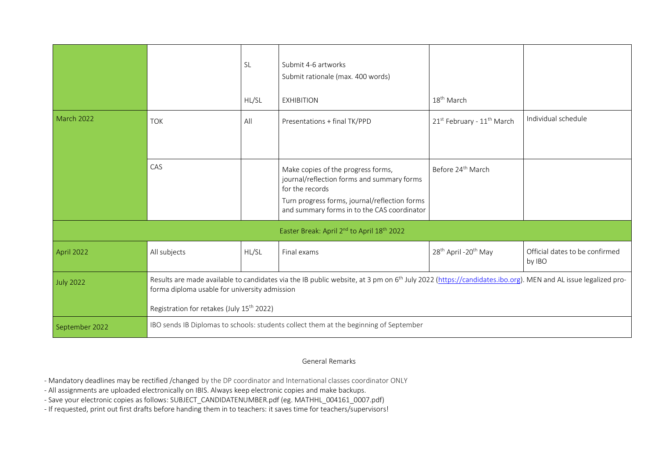|                                                                    |                                                                                                                                                                                                                                                                                  | <b>SL</b><br>HL/SL | Submit 4-6 artworks<br>Submit rationale (max. 400 words)<br><b>EXHIBITION</b>                                                                                                                       | 18 <sup>th</sup> March                       |                                          |  |  |
|--------------------------------------------------------------------|----------------------------------------------------------------------------------------------------------------------------------------------------------------------------------------------------------------------------------------------------------------------------------|--------------------|-----------------------------------------------------------------------------------------------------------------------------------------------------------------------------------------------------|----------------------------------------------|------------------------------------------|--|--|
| March 2022                                                         | <b>TOK</b>                                                                                                                                                                                                                                                                       | All                | Presentations + final TK/PPD                                                                                                                                                                        | 21st February - 11 <sup>th</sup> March       | Individual schedule                      |  |  |
|                                                                    | CAS                                                                                                                                                                                                                                                                              |                    | Make copies of the progress forms,<br>journal/reflection forms and summary forms<br>for the records<br>Turn progress forms, journal/reflection forms<br>and summary forms in to the CAS coordinator | Before 24 <sup>th</sup> March                |                                          |  |  |
| Easter Break: April 2 <sup>nd</sup> to April 18 <sup>th</sup> 2022 |                                                                                                                                                                                                                                                                                  |                    |                                                                                                                                                                                                     |                                              |                                          |  |  |
| April 2022                                                         | All subjects                                                                                                                                                                                                                                                                     | HL/SL              | Final exams                                                                                                                                                                                         | 28 <sup>th</sup> April -20 <sup>th</sup> May | Official dates to be confirmed<br>by IBO |  |  |
| July 2022                                                          | Results are made available to candidates via the IB public website, at 3 pm on 6 <sup>th</sup> July 2022 (https://candidates.ibo.org). MEN and AL issue legalized pro-<br>forma diploma usable for university admission<br>Registration for retakes (July 15 <sup>th</sup> 2022) |                    |                                                                                                                                                                                                     |                                              |                                          |  |  |
| September 2022                                                     | IBO sends IB Diplomas to schools: students collect them at the beginning of September                                                                                                                                                                                            |                    |                                                                                                                                                                                                     |                                              |                                          |  |  |

## General Remarks

- Mandatory deadlines may be rectified /changed by the DP coordinator and International classes coordinator ONLY

- All assignments are uploaded electronically on IBIS. Always keep electronic copies and make backups.

- Save your electronic copies as follows: SUBJECT\_CANDIDATENUMBER.pdf (eg. MATHHL\_004161\_0007.pdf)

- If requested, print out first drafts before handing them in to teachers: it saves time for teachers/supervisors!